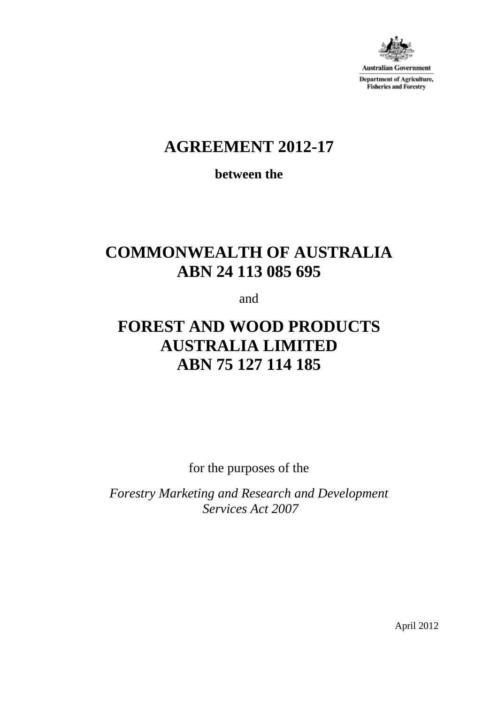

Australian Government **Department of Agriculture, Fisheries and Forestry** 

# **AGREEMENT 2012-17**

**between the**

# **COMMONWEALTH OF AUSTRALIA ABN 24 113 085 695**

and

# **FOREST AND WOOD PRODUCTS AUSTRALIA LIMITED ABN 75 127 114 185**

for the purposes of the

*Forestry Marketing and Research and Development Services Act 2007*

April 2012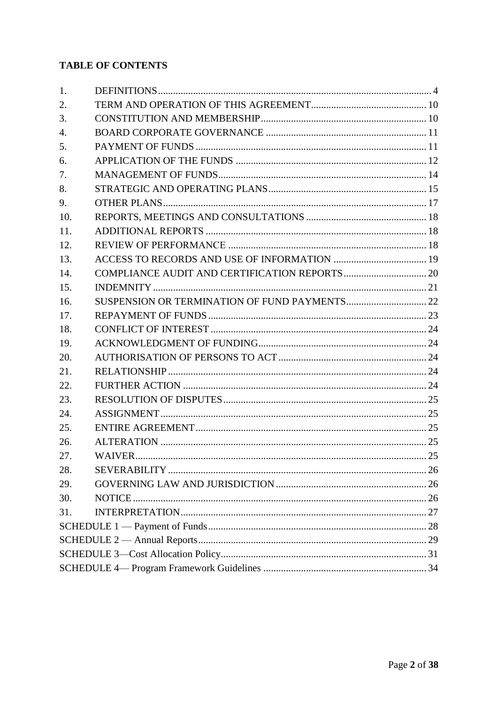# **TABLE OF CONTENTS**

| 1.  |  |  |  |
|-----|--|--|--|
| 2.  |  |  |  |
| 3.  |  |  |  |
| 4.  |  |  |  |
| 5.  |  |  |  |
| 6.  |  |  |  |
| 7.  |  |  |  |
| 8.  |  |  |  |
| 9.  |  |  |  |
| 10. |  |  |  |
| 11. |  |  |  |
| 12. |  |  |  |
| 13. |  |  |  |
| 14. |  |  |  |
| 15. |  |  |  |
| 16. |  |  |  |
| 17. |  |  |  |
| 18. |  |  |  |
| 19. |  |  |  |
| 20. |  |  |  |
| 21. |  |  |  |
| 22. |  |  |  |
| 23. |  |  |  |
| 24. |  |  |  |
| 25. |  |  |  |
| 26. |  |  |  |
| 27. |  |  |  |
| 28. |  |  |  |
| 29. |  |  |  |
| 30. |  |  |  |
| 31. |  |  |  |
|     |  |  |  |
|     |  |  |  |
|     |  |  |  |
|     |  |  |  |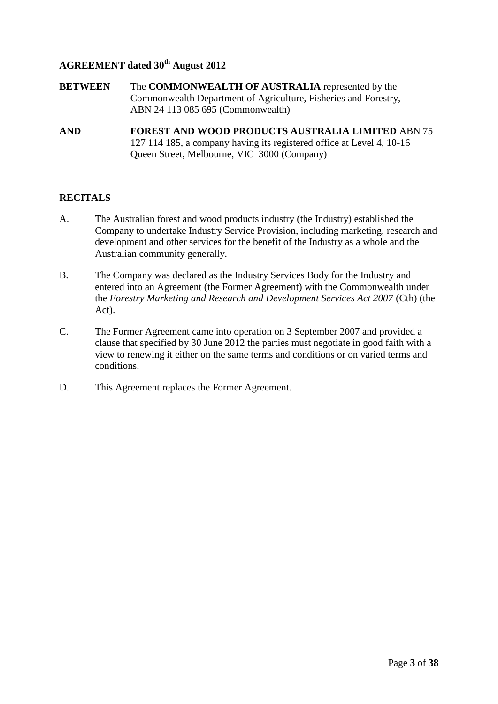## **AGREEMENT dated 30th August 2012**

- **BETWEEN** The **COMMONWEALTH OF AUSTRALIA** represented by the Commonwealth Department of Agriculture, Fisheries and Forestry, ABN 24 113 085 695 (Commonwealth)
- **AND FOREST AND WOOD PRODUCTS AUSTRALIA LIMITED** ABN 75 127 114 185, a company having its registered office at Level 4, 10-16 Queen Street, Melbourne, VIC 3000 (Company)

### **RECITALS**

- A. The Australian forest and wood products industry (the Industry) established the Company to undertake Industry Service Provision, including marketing, research and development and other services for the benefit of the Industry as a whole and the Australian community generally.
- B. The Company was declared as the Industry Services Body for the Industry and entered into an Agreement (the Former Agreement) with the Commonwealth under the *Forestry Marketing and Research and Development Services Act 2007* (Cth) (the Act).
- C. The Former Agreement came into operation on 3 September 2007 and provided a clause that specified by 30 June 2012 the parties must negotiate in good faith with a view to renewing it either on the same terms and conditions or on varied terms and conditions.
- D. This Agreement replaces the Former Agreement.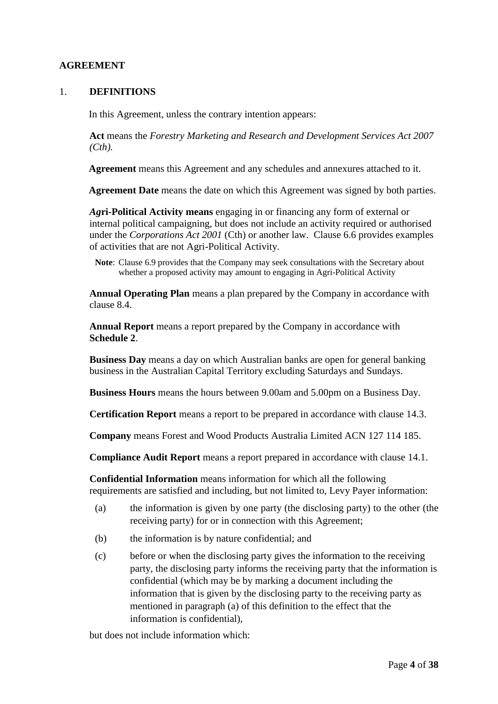## <span id="page-3-0"></span>**AGREEMENT**

#### 1. **DEFINITIONS**

In this Agreement, unless the contrary intention appears:

**Act** means the *Forestry Marketing and Research and Development Services Act 2007 (Cth).*

**Agreement** means this Agreement and any schedules and annexures attached to it.

**Agreement Date** means the date on which this Agreement was signed by both parties.

*Ag***ri-Political Activity means** engaging in or financing any form of external or internal political campaigning, but does not include an activity required or authorised under the *Corporations Act 2001* (Cth) or another law. Clause [6.6](#page-12-0) provides examples of activities that are not Agri-Political Activity.

**Note**: Clause 6.9 provides that the Company may seek consultations with the Secretary about whether a proposed activity may amount to engaging in Agri-Political Activity

**Annual Operating Plan** means a plan prepared by the Company in accordance with clause [8.4.](#page-15-0)

**Annual Report** means a report prepared by the Company in accordance with **Schedule 2**.

**Business Day** means a day on which Australian banks are open for general banking business in the Australian Capital Territory excluding Saturdays and Sundays.

**Business Hours** means the hours between 9.00am and 5.00pm on a Business Day.

**Certification Report** means a report to be prepared in accordance with clause [14.3.](#page-20-1)

**Company** means Forest and Wood Products Australia Limited ACN 127 114 185.

**Compliance Audit Report** means a report prepared in accordance with clause [14.1.](#page-19-1)

**Confidential Information** means information for which all the following requirements are satisfied and including, but not limited to, Levy Payer information:

- (a) the information is given by one party (the disclosing party) to the other (the receiving party) for or in connection with this Agreement;
- (b) the information is by nature confidential; and
- (c) before or when the disclosing party gives the information to the receiving party, the disclosing party informs the receiving party that the information is confidential (which may be by marking a document including the information that is given by the disclosing party to the receiving party as mentioned in paragraph (a) of this definition to the effect that the information is confidential),

but does not include information which: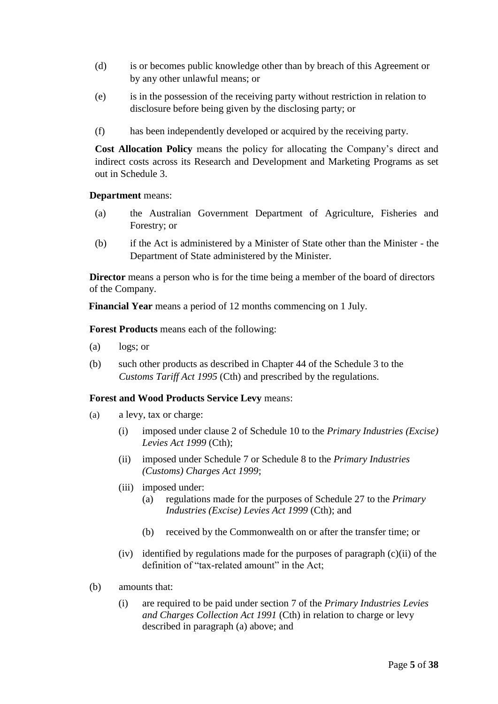- (d) is or becomes public knowledge other than by breach of this Agreement or by any other unlawful means; or
- (e) is in the possession of the receiving party without restriction in relation to disclosure before being given by the disclosing party; or
- (f) has been independently developed or acquired by the receiving party.

**Cost Allocation Policy** means the policy for allocating the Company's direct and indirect costs across its Research and Development and Marketing Programs as set out in Schedule 3.

**Department** means:

- (a) the Australian Government Department of Agriculture, Fisheries and Forestry; or
- (b) if the Act is administered by a Minister of State other than the Minister the Department of State administered by the Minister.

**Director** means a person who is for the time being a member of the board of directors of the Company.

**Financial Year** means a period of 12 months commencing on 1 July.

**Forest Products** means each of the following:

- (a) logs; or
- (b) such other products as described in Chapter 44 of the Schedule 3 to the *Customs Tariff Act 1995* (Cth) and prescribed by the regulations.

#### **Forest and Wood Products Service Levy** means:

- (a) a levy, tax or charge:
	- (i) imposed under clause 2 of Schedule 10 to the *Primary Industries (Excise) Levies Act 1999* (Cth);
	- (ii) imposed under Schedule 7 or Schedule 8 to the *Primary Industries (Customs) Charges Act 1999*;
	- (iii) imposed under:
		- (a) regulations made for the purposes of Schedule 27 to the *Primary Industries (Excise) Levies Act 1999* (Cth); and
		- (b) received by the Commonwealth on or after the transfer time; or
	- (iv) identified by regulations made for the purposes of paragraph (c)(ii) of the definition of "tax-related amount" in the Act;
- (b) amounts that:
	- (i) are required to be paid under section 7 of the *Primary Industries Levies and Charges Collection Act 1991* (Cth) in relation to charge or levy described in paragraph (a) above; and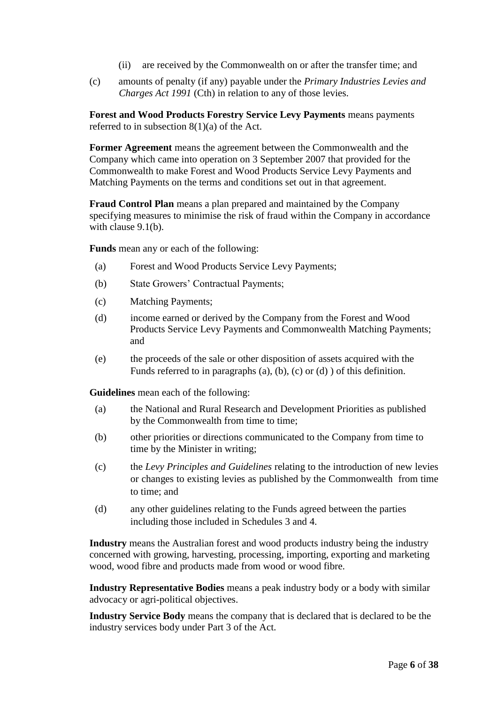- (ii) are received by the Commonwealth on or after the transfer time; and
- (c) amounts of penalty (if any) payable under the *Primary Industries Levies and Charges Act 1991* (Cth) in relation to any of those levies.

**Forest and Wood Products Forestry Service Levy Payments** means payments referred to in subsection  $8(1)(a)$  of the Act.

**Former Agreement** means the agreement between the Commonwealth and the Company which came into operation on 3 September 2007 that provided for the Commonwealth to make Forest and Wood Products Service Levy Payments and Matching Payments on the terms and conditions set out in that agreement.

**Fraud Control Plan** means a plan prepared and maintained by the Company specifying measures to minimise the risk of fraud within the Company in accordance with clause [9.1\(b\).](#page-16-1)

**Funds** mean any or each of the following:

- (a) Forest and Wood Products Service Levy Payments;
- (b) State Growers' Contractual Payments;
- (c) Matching Payments;
- (d) income earned or derived by the Company from the Forest and Wood Products Service Levy Payments and Commonwealth Matching Payments; and
- (e) the proceeds of the sale or other disposition of assets acquired with the Funds referred to in paragraphs (a), (b), (c) or (d) ) of this definition.

**Guidelines** mean each of the following:

- (a) the National and Rural Research and Development Priorities as published by the Commonwealth from time to time;
- (b) other priorities or directions communicated to the Company from time to time by the Minister in writing;
- (c) the *Levy Principles and Guidelines* relating to the introduction of new levies or changes to existing levies as published by the Commonwealth from time to time; and
- (d) any other guidelines relating to the Funds agreed between the parties including those included in Schedules 3 and 4.

**Industry** means the Australian forest and wood products industry being the industry concerned with growing, harvesting, processing, importing, exporting and marketing wood, wood fibre and products made from wood or wood fibre.

**Industry Representative Bodies** means a peak industry body or a body with similar advocacy or agri-political objectives.

**Industry Service Body** means the company that is declared that is declared to be the industry services body under Part 3 of the Act.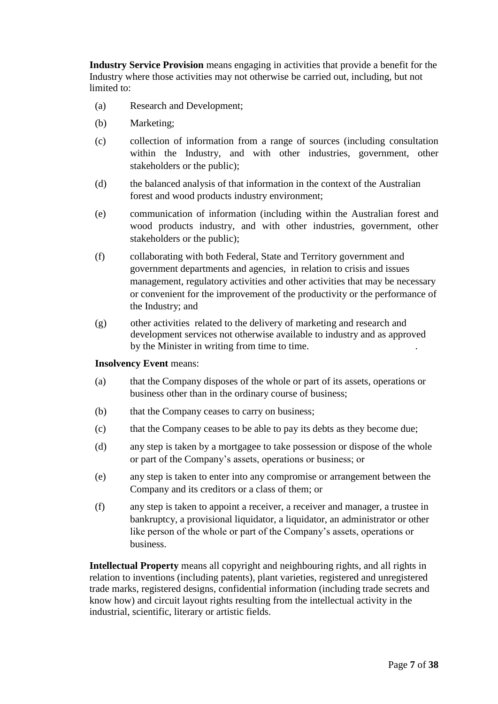**Industry Service Provision** means engaging in activities that provide a benefit for the Industry where those activities may not otherwise be carried out, including, but not limited to:

- (a) Research and Development;
- (b) Marketing;
- (c) collection of information from a range of sources (including consultation within the Industry, and with other industries, government, other stakeholders or the public);
- (d) the balanced analysis of that information in the context of the Australian forest and wood products industry environment;
- (e) communication of information (including within the Australian forest and wood products industry, and with other industries, government, other stakeholders or the public);
- (f) collaborating with both Federal, State and Territory government and government departments and agencies, in relation to crisis and issues management, regulatory activities and other activities that may be necessary or convenient for the improvement of the productivity or the performance of the Industry; and
- (g) other activities related to the delivery of marketing and research and development services not otherwise available to industry and as approved by the Minister in writing from time to time. .

#### **Insolvency Event** means:

- (a) that the Company disposes of the whole or part of its assets, operations or business other than in the ordinary course of business;
- (b) that the Company ceases to carry on business;
- (c) that the Company ceases to be able to pay its debts as they become due;
- (d) any step is taken by a mortgagee to take possession or dispose of the whole or part of the Company's assets, operations or business; or
- (e) any step is taken to enter into any compromise or arrangement between the Company and its creditors or a class of them; or
- (f) any step is taken to appoint a receiver, a receiver and manager, a trustee in bankruptcy, a provisional liquidator, a liquidator, an administrator or other like person of the whole or part of the Company's assets, operations or business.

**Intellectual Property** means all copyright and neighbouring rights, and all rights in relation to inventions (including patents), plant varieties, registered and unregistered trade marks, registered designs, confidential information (including trade secrets and know how) and circuit layout rights resulting from the intellectual activity in the industrial, scientific, literary or artistic fields.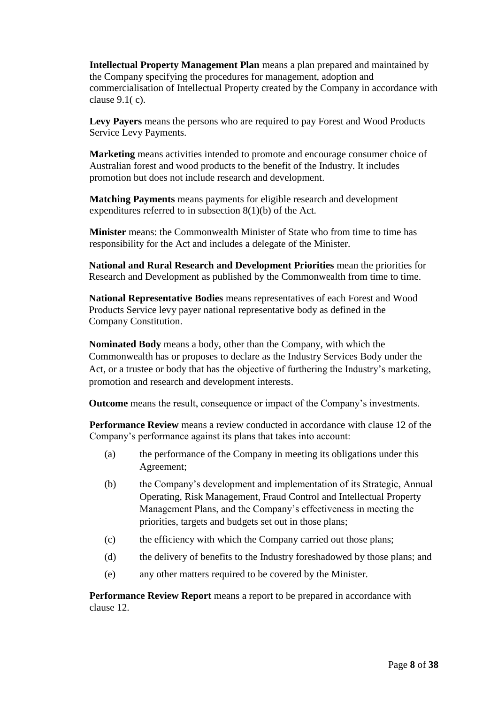**Intellectual Property Management Plan** means a plan prepared and maintained by the Company specifying the procedures for management, adoption and commercialisation of Intellectual Property created by the Company in accordance with clause 9.1( c).

**Levy Payers** means the persons who are required to pay Forest and Wood Products Service Levy Payments.

**Marketing** means activities intended to promote and encourage consumer choice of Australian forest and wood products to the benefit of the Industry. It includes promotion but does not include research and development.

**Matching Payments** means payments for eligible research and development expenditures referred to in subsection 8(1)(b) of the Act.

**Minister** means: the Commonwealth Minister of State who from time to time has responsibility for the Act and includes a delegate of the Minister.

**National and Rural Research and Development Priorities** mean the priorities for Research and Development as published by the Commonwealth from time to time.

**National Representative Bodies** means representatives of each Forest and Wood Products Service levy payer national representative body as defined in the Company Constitution.

**Nominated Body** means a body, other than the Company, with which the Commonwealth has or proposes to declare as the Industry Services Body under the Act, or a trustee or body that has the objective of furthering the Industry's marketing, promotion and research and development interests.

**Outcome** means the result, consequence or impact of the Company's investments.

**Performance Review** means a review conducted in accordance with clause 12 of the Company's performance against its plans that takes into account:

- (a) the performance of the Company in meeting its obligations under this Agreement;
- (b) the Company's development and implementation of its Strategic, Annual Operating, Risk Management, Fraud Control and Intellectual Property Management Plans, and the Company's effectiveness in meeting the priorities, targets and budgets set out in those plans;
- (c) the efficiency with which the Company carried out those plans;
- (d) the delivery of benefits to the Industry foreshadowed by those plans; and
- (e) any other matters required to be covered by the Minister.

**Performance Review Report** means a report to be prepared in accordance with clause 12.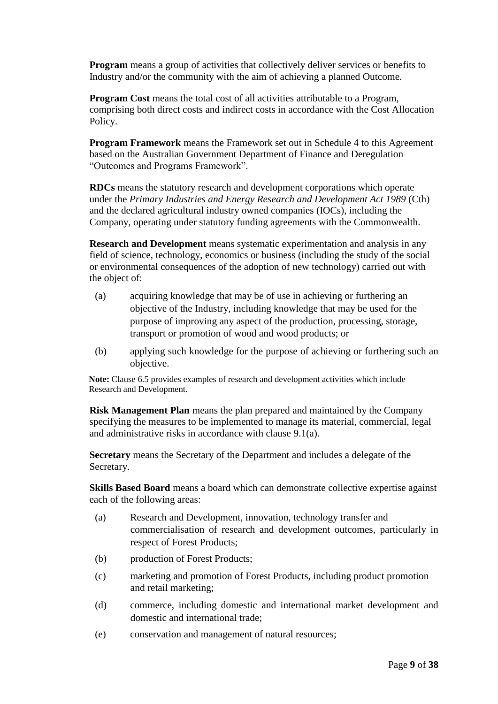**Program** means a group of activities that collectively deliver services or benefits to Industry and/or the community with the aim of achieving a planned Outcome.

**Program Cost** means the total cost of all activities attributable to a Program, comprising both direct costs and indirect costs in accordance with the Cost Allocation Policy.

**Program Framework** means the Framework set out in Schedule 4 to this Agreement based on the Australian Government Department of Finance and Deregulation "Outcomes and Programs Framework".

**RDCs** means the statutory research and development corporations which operate under the *Primary Industries and Energy Research and Development Act 1989* (Cth) and the declared agricultural industry owned companies (IOCs), including the Company, operating under statutory funding agreements with the Commonwealth.

**Research and Development** means systematic experimentation and analysis in any field of science, technology, economics or business (including the study of the social or environmental consequences of the adoption of new technology) carried out with the object of:

- (a) acquiring knowledge that may be of use in achieving or furthering an objective of the Industry, including knowledge that may be used for the purpose of improving any aspect of the production, processing, storage, transport or promotion of wood and wood products; or
- (b) applying such knowledge for the purpose of achieving or furthering such an objective.

**Note:** Clause 6.5 provides examples of research and development activities which include Research and Development.

**Risk Management Plan** means the plan prepared and maintained by the Company specifying the measures to be implemented to manage its material, commercial, legal and administrative risks in accordance with clause [9.1\(a\).](#page-16-2)

**Secretary** means the Secretary of the Department and includes a delegate of the Secretary.

**Skills Based Board** means a board which can demonstrate collective expertise against each of the following areas:

- (a) Research and Development, innovation, technology transfer and commercialisation of research and development outcomes, particularly in respect of Forest Products;
- (b) production of Forest Products;
- (c) marketing and promotion of Forest Products, including product promotion and retail marketing;
- (d) commerce, including domestic and international market development and domestic and international trade;
- (e) conservation and management of natural resources;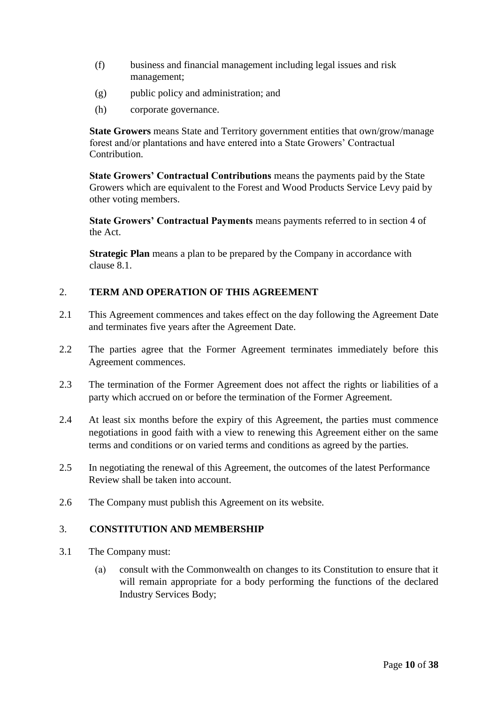- (f) business and financial management including legal issues and risk management;
- (g) public policy and administration; and
- (h) corporate governance.

**State Growers** means State and Territory government entities that own/grow/manage forest and/or plantations and have entered into a State Growers' Contractual Contribution.

**State Growers' Contractual Contributions** means the payments paid by the State Growers which are equivalent to the Forest and Wood Products Service Levy paid by other voting members.

**State Growers' Contractual Payments** means payments referred to in section 4 of the Act.

**Strategic Plan** means a plan to be prepared by the Company in accordance with clause [8.1.](#page-14-1)

## <span id="page-9-0"></span>2. **TERM AND OPERATION OF THIS AGREEMENT**

- 2.1 This Agreement commences and takes effect on the day following the Agreement Date and terminates five years after the Agreement Date.
- 2.2 The parties agree that the Former Agreement terminates immediately before this Agreement commences.
- 2.3 The termination of the Former Agreement does not affect the rights or liabilities of a party which accrued on or before the termination of the Former Agreement.
- 2.4 At least six months before the expiry of this Agreement, the parties must commence negotiations in good faith with a view to renewing this Agreement either on the same terms and conditions or on varied terms and conditions as agreed by the parties.
- 2.5 In negotiating the renewal of this Agreement, the outcomes of the latest Performance Review shall be taken into account.
- <span id="page-9-1"></span>2.6 The Company must publish this Agreement on its website.

## 3. **CONSTITUTION AND MEMBERSHIP**

- 3.1 The Company must:
	- (a) consult with the Commonwealth on changes to its Constitution to ensure that it will remain appropriate for a body performing the functions of the declared Industry Services Body;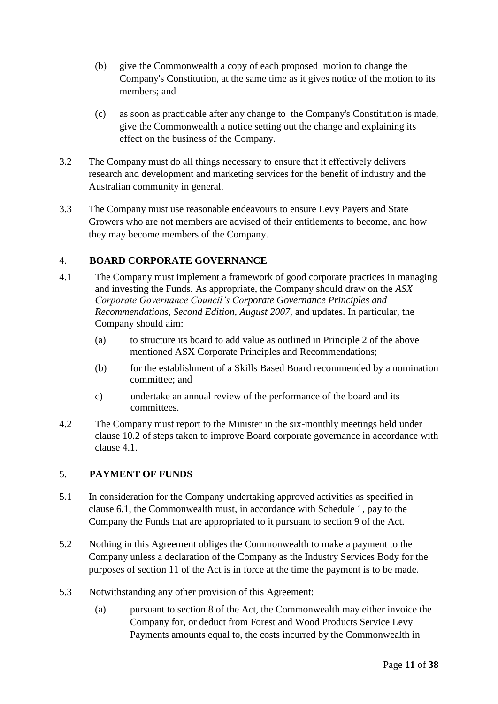- (b) give the Commonwealth a copy of each proposed motion to change the Company's Constitution, at the same time as it gives notice of the motion to its members; and
- (c) as soon as practicable after any change to the Company's Constitution is made, give the Commonwealth a notice setting out the change and explaining its effect on the business of the Company.
- 3.2 The Company must do all things necessary to ensure that it effectively delivers research and development and marketing services for the benefit of industry and the Australian community in general.
- 3.3 The Company must use reasonable endeavours to ensure Levy Payers and State Growers who are not members are advised of their entitlements to become, and how they may become members of the Company.

## <span id="page-10-0"></span>4. **BOARD CORPORATE GOVERNANCE**

- 4.1 The Company must implement a framework of good corporate practices in managing and investing the Funds. As appropriate, the Company should draw on the *ASX Corporate Governance Council's Corporate Governance Principles and Recommendations, Second Edition, August 2007,* and updates. In particular, the Company should aim:
	- (a) to structure its board to add value as outlined in Principle 2 of the above mentioned ASX Corporate Principles and Recommendations;
	- (b) for the establishment of a Skills Based Board recommended by a nomination committee; and
	- c) undertake an annual review of the performance of the board and its committees.
- 4.2 The Company must report to the Minister in the six-monthly meetings held under clause 10.2 of steps taken to improve Board corporate governance in accordance with clause 4.1.

## <span id="page-10-1"></span>5. **PAYMENT OF FUNDS**

- 5.1 In consideration for the Company undertaking approved activities as specified in clause 6.1, the Commonwealth must, in accordance with Schedule 1, pay to the Company the Funds that are appropriated to it pursuant to section 9 of the Act.
- 5.2 Nothing in this Agreement obliges the Commonwealth to make a payment to the Company unless a declaration of the Company as the Industry Services Body for the purposes of section 11 of the Act is in force at the time the payment is to be made.
- 5.3 Notwithstanding any other provision of this Agreement:
	- (a) pursuant to section 8 of the Act, the Commonwealth may either invoice the Company for, or deduct from Forest and Wood Products Service Levy Payments amounts equal to, the costs incurred by the Commonwealth in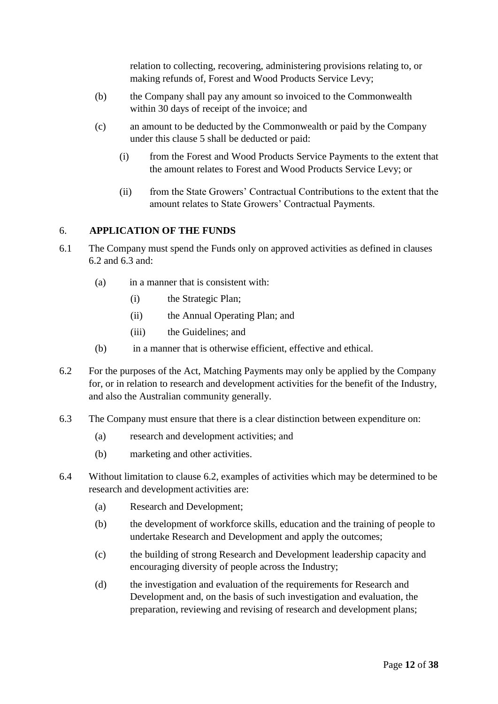relation to collecting, recovering, administering provisions relating to, or making refunds of, Forest and Wood Products Service Levy;

- (b) the Company shall pay any amount so invoiced to the Commonwealth within 30 days of receipt of the invoice; and
- (c) an amount to be deducted by the Commonwealth or paid by the Company under this clause 5 shall be deducted or paid:
	- (i) from the Forest and Wood Products Service Payments to the extent that the amount relates to Forest and Wood Products Service Levy; or
	- (ii) from the State Growers' Contractual Contributions to the extent that the amount relates to State Growers' Contractual Payments.

## <span id="page-11-0"></span>6. **APPLICATION OF THE FUNDS**

- 6.1 The Company must spend the Funds only on approved activities as defined in clauses 6.2 and 6.3 and:
	- (a) in a manner that is consistent with:
		- (i) the Strategic Plan;
		- (ii) the Annual Operating Plan; and
		- (iii) the Guidelines; and
	- (b) in a manner that is otherwise efficient, effective and ethical.
- <span id="page-11-1"></span>6.2 For the purposes of the Act, Matching Payments may only be applied by the Company for, or in relation to research and development activities for the benefit of the Industry, and also the Australian community generally.
- 6.3 The Company must ensure that there is a clear distinction between expenditure on:
	- (a) research and development activities; and
	- (b) marketing and other activities.
- <span id="page-11-2"></span>6.4 Without limitation to clause [6.2,](#page-11-1) examples of activities which may be determined to be research and development activities are:
	- (a) Research and Development;
	- (b) the development of workforce skills, education and the training of people to undertake Research and Development and apply the outcomes;
	- (c) the building of strong Research and Development leadership capacity and encouraging diversity of people across the Industry;
	- (d) the investigation and evaluation of the requirements for Research and Development and, on the basis of such investigation and evaluation, the preparation, reviewing and revising of research and development plans;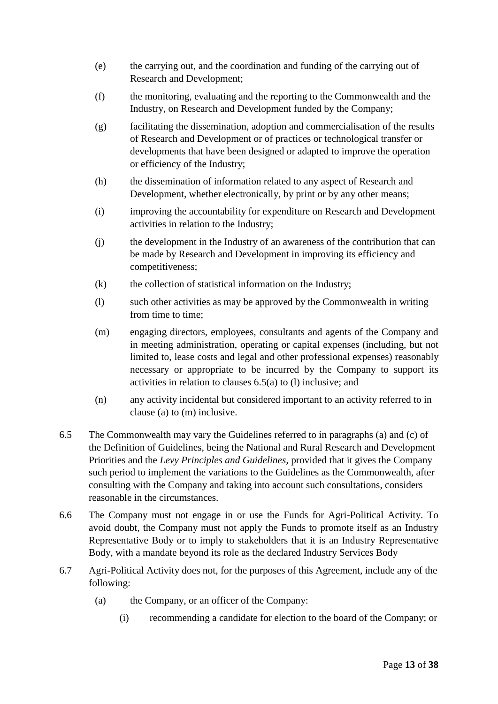- (e) the carrying out, and the coordination and funding of the carrying out of Research and Development;
- (f) the monitoring, evaluating and the reporting to the Commonwealth and the Industry, on Research and Development funded by the Company;
- (g) facilitating the dissemination, adoption and commercialisation of the results of Research and Development or of practices or technological transfer or developments that have been designed or adapted to improve the operation or efficiency of the Industry;
- (h) the dissemination of information related to any aspect of Research and Development, whether electronically, by print or by any other means;
- (i) improving the accountability for expenditure on Research and Development activities in relation to the Industry;
- (j) the development in the Industry of an awareness of the contribution that can be made by Research and Development in improving its efficiency and competitiveness;
- (k) the collection of statistical information on the Industry;
- (l) such other activities as may be approved by the Commonwealth in writing from time to time;
- <span id="page-12-1"></span>(m) engaging directors, employees, consultants and agents of the Company and in meeting administration, operating or capital expenses (including, but not limited to, lease costs and legal and other professional expenses) reasonably necessary or appropriate to be incurred by the Company to support its activities in relation to clauses 6.5(a) to (l) inclusive; and
- (n) any activity incidental but considered important to an activity referred to in clause [\(a\)](#page-11-2) to [\(m\)](#page-12-1) inclusive.
- 6.5 The Commonwealth may vary the Guidelines referred to in paragraphs (a) and (c) of the Definition of Guidelines, being the National and Rural Research and Development Priorities and the *Levy Principles and Guidelines,* provided that it gives the Company such period to implement the variations to the Guidelines as the Commonwealth, after consulting with the Company and taking into account such consultations, considers reasonable in the circumstances.
- <span id="page-12-0"></span>6.6 The Company must not engage in or use the Funds for Agri-Political Activity. To avoid doubt, the Company must not apply the Funds to promote itself as an Industry Representative Body or to imply to stakeholders that it is an Industry Representative Body, with a mandate beyond its role as the declared Industry Services Body
- 6.7 Agri-Political Activity does not, for the purposes of this Agreement, include any of the following:
	- (a) the Company, or an officer of the Company:
		- (i) recommending a candidate for election to the board of the Company; or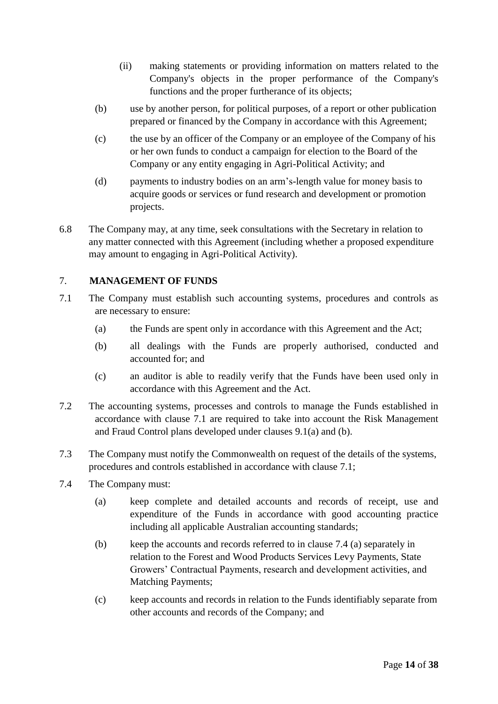- (ii) making statements or providing information on matters related to the Company's objects in the proper performance of the Company's functions and the proper furtherance of its objects;
- (b) use by another person, for political purposes, of a report or other publication prepared or financed by the Company in accordance with this Agreement;
- (c) the use by an officer of the Company or an employee of the Company of his or her own funds to conduct a campaign for election to the Board of the Company or any entity engaging in Agri-Political Activity; and
- (d) payments to industry bodies on an arm's-length value for money basis to acquire goods or services or fund research and development or promotion projects.
- 6.8 The Company may, at any time, seek consultations with the Secretary in relation to any matter connected with this Agreement (including whether a proposed expenditure may amount to engaging in Agri-Political Activity).

## <span id="page-13-0"></span>7. **MANAGEMENT OF FUNDS**

- 7.1 The Company must establish such accounting systems, procedures and controls as are necessary to ensure:
	- (a) the Funds are spent only in accordance with this Agreement and the Act;
	- (b) all dealings with the Funds are properly authorised, conducted and accounted for; and
	- (c) an auditor is able to readily verify that the Funds have been used only in accordance with this Agreement and the Act.
- 7.2 The accounting systems, processes and controls to manage the Funds established in accordance with clause 7.1 are required to take into account the Risk Management and Fraud Control plans developed under clauses 9.1(a) and (b).
- 7.3 The Company must notify the Commonwealth on request of the details of the systems, procedures and controls established in accordance with clause 7.1;
- 7.4 The Company must:
	- (a) keep complete and detailed accounts and records of receipt, use and expenditure of the Funds in accordance with good accounting practice including all applicable Australian accounting standards;
	- (b) keep the accounts and records referred to in clause 7.4 (a) separately in relation to the Forest and Wood Products Services Levy Payments, State Growers' Contractual Payments, research and development activities, and Matching Payments;
	- (c) keep accounts and records in relation to the Funds identifiably separate from other accounts and records of the Company; and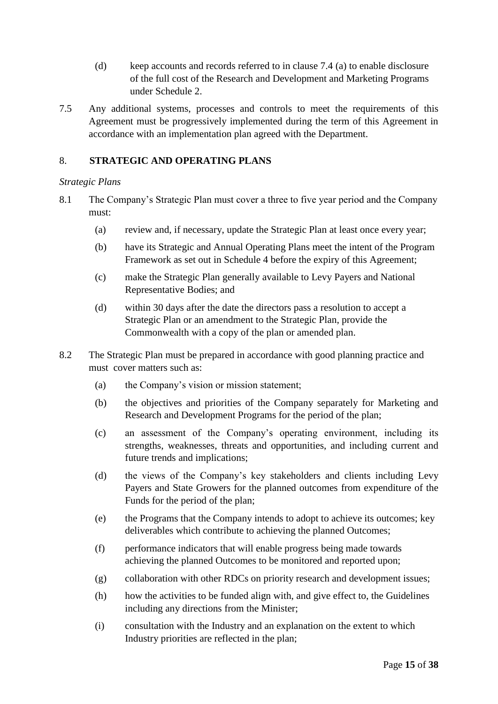- (d) keep accounts and records referred to in clause 7.4 (a) to enable disclosure of the full cost of the Research and Development and Marketing Programs under Schedule 2.
- 7.5 Any additional systems, processes and controls to meet the requirements of this Agreement must be progressively implemented during the term of this Agreement in accordance with an implementation plan agreed with the Department.

## <span id="page-14-0"></span>8. **STRATEGIC AND OPERATING PLANS**

### *Strategic Plans*

- <span id="page-14-1"></span>8.1 The Company's Strategic Plan must cover a three to five year period and the Company must:
	- (a) review and, if necessary, update the Strategic Plan at least once every year;
	- (b) have its Strategic and Annual Operating Plans meet the intent of the Program Framework as set out in Schedule 4 before the expiry of this Agreement;
	- (c) make the Strategic Plan generally available to Levy Payers and National Representative Bodies; and
	- (d) within 30 days after the date the directors pass a resolution to accept a Strategic Plan or an amendment to the Strategic Plan, provide the Commonwealth with a copy of the plan or amended plan.
- 8.2 The Strategic Plan must be prepared in accordance with good planning practice and must cover matters such as:
	- (a) the Company's vision or mission statement;
	- (b) the objectives and priorities of the Company separately for Marketing and Research and Development Programs for the period of the plan;
	- (c) an assessment of the Company's operating environment, including its strengths, weaknesses, threats and opportunities, and including current and future trends and implications;
	- (d) the views of the Company's key stakeholders and clients including Levy Payers and State Growers for the planned outcomes from expenditure of the Funds for the period of the plan;
	- (e) the Programs that the Company intends to adopt to achieve its outcomes; key deliverables which contribute to achieving the planned Outcomes;
	- (f) performance indicators that will enable progress being made towards achieving the planned Outcomes to be monitored and reported upon;
	- (g) collaboration with other RDCs on priority research and development issues;
	- (h) how the activities to be funded align with, and give effect to, the Guidelines including any directions from the Minister;
	- (i) consultation with the Industry and an explanation on the extent to which Industry priorities are reflected in the plan;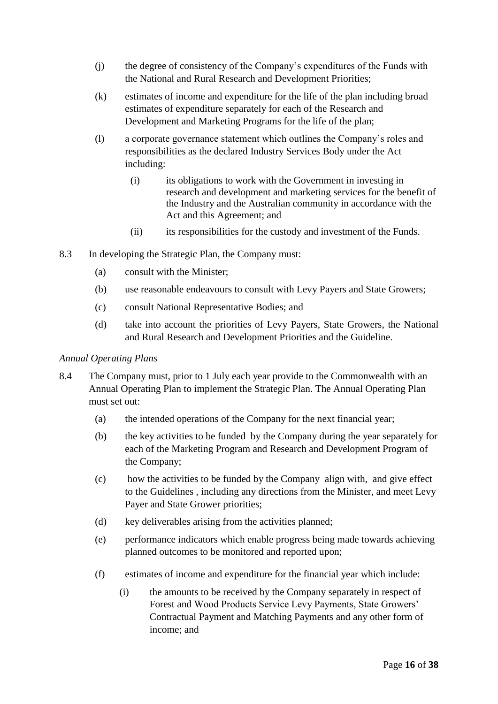- (j) the degree of consistency of the Company's expenditures of the Funds with the National and Rural Research and Development Priorities;
- (k) estimates of income and expenditure for the life of the plan including broad estimates of expenditure separately for each of the Research and Development and Marketing Programs for the life of the plan;
- (l) a corporate governance statement which outlines the Company's roles and responsibilities as the declared Industry Services Body under the Act including:
	- (i) its obligations to work with the Government in investing in research and development and marketing services for the benefit of the Industry and the Australian community in accordance with the Act and this Agreement; and
	- (ii) its responsibilities for the custody and investment of the Funds.
- 8.3 In developing the Strategic Plan, the Company must:
	- (a) consult with the Minister;
	- (b) use reasonable endeavours to consult with Levy Payers and State Growers;
	- (c) consult National Representative Bodies; and
	- (d) take into account the priorities of Levy Payers, State Growers, the National and Rural Research and Development Priorities and the Guideline.

#### *Annual Operating Plans*

- <span id="page-15-0"></span>8.4 The Company must, prior to 1 July each year provide to the Commonwealth with an Annual Operating Plan to implement the Strategic Plan. The Annual Operating Plan must set out:
	- (a) the intended operations of the Company for the next financial year;
	- (b) the key activities to be funded by the Company during the year separately for each of the Marketing Program and Research and Development Program of the Company;
	- (c) how the activities to be funded by the Company align with, and give effect to the Guidelines , including any directions from the Minister, and meet Levy Payer and State Grower priorities;
	- (d) key deliverables arising from the activities planned;
	- (e) performance indicators which enable progress being made towards achieving planned outcomes to be monitored and reported upon;
	- (f) estimates of income and expenditure for the financial year which include:
		- (i) the amounts to be received by the Company separately in respect of Forest and Wood Products Service Levy Payments, State Growers' Contractual Payment and Matching Payments and any other form of income; and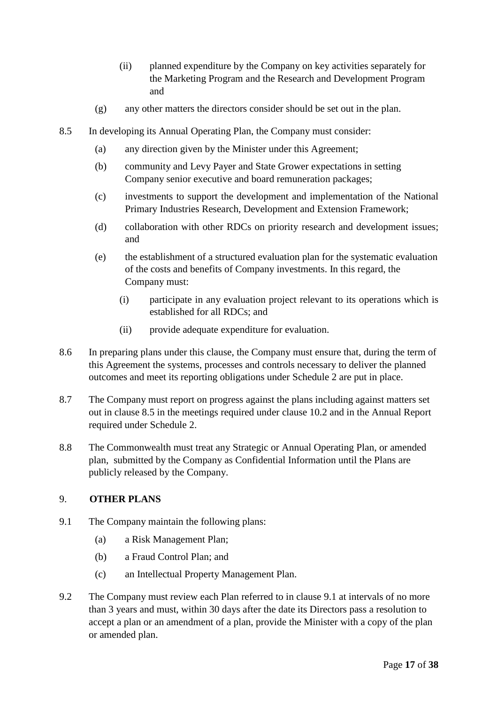- (ii) planned expenditure by the Company on key activities separately for the Marketing Program and the Research and Development Program and
- (g) any other matters the directors consider should be set out in the plan.
- 8.5 In developing its Annual Operating Plan, the Company must consider:
	- (a) any direction given by the Minister under this Agreement;
	- (b) community and Levy Payer and State Grower expectations in setting Company senior executive and board remuneration packages;
	- (c) investments to support the development and implementation of the National Primary Industries Research, Development and Extension Framework;
	- (d) collaboration with other RDCs on priority research and development issues; and
	- (e) the establishment of a structured evaluation plan for the systematic evaluation of the costs and benefits of Company investments. In this regard, the Company must:
		- (i) participate in any evaluation project relevant to its operations which is established for all RDCs; and
		- (ii) provide adequate expenditure for evaluation.
- 8.6 In preparing plans under this clause, the Company must ensure that, during the term of this Agreement the systems, processes and controls necessary to deliver the planned outcomes and meet its reporting obligations under Schedule 2 are put in place.
- 8.7 The Company must report on progress against the plans including against matters set out in clause 8.5 in the meetings required under clause 10.2 and in the Annual Report required under Schedule 2.
- 8.8 The Commonwealth must treat any Strategic or Annual Operating Plan, or amended plan, submitted by the Company as Confidential Information until the Plans are publicly released by the Company.

## <span id="page-16-3"></span><span id="page-16-0"></span>9. **OTHER PLANS**

- <span id="page-16-2"></span><span id="page-16-1"></span>9.1 The Company maintain the following plans:
	- (a) a Risk Management Plan;
	- (b) a Fraud Control Plan; and
	- (c) an Intellectual Property Management Plan.
- 9.2 The Company must review each Plan referred to in clause [9.1](#page-16-3) at intervals of no more than 3 years and must, within 30 days after the date its Directors pass a resolution to accept a plan or an amendment of a plan, provide the Minister with a copy of the plan or amended plan.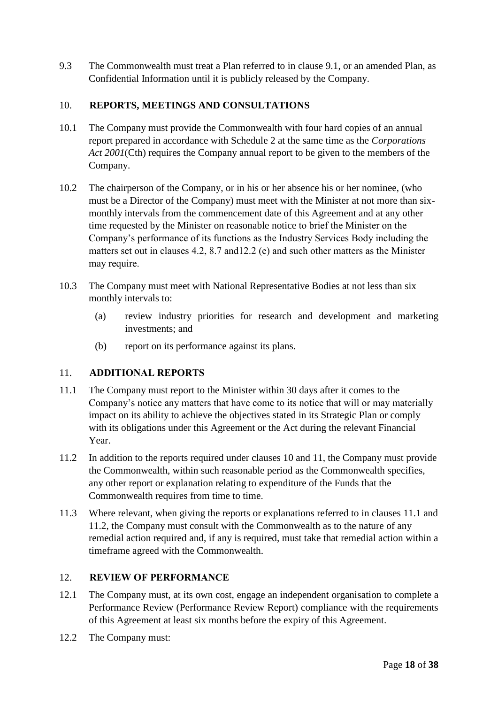9.3 The Commonwealth must treat a Plan referred to in clause [9.1,](#page-16-3) or an amended Plan, as Confidential Information until it is publicly released by the Company.

## <span id="page-17-0"></span>10. **REPORTS, MEETINGS AND CONSULTATIONS**

- 10.1 The Company must provide the Commonwealth with four hard copies of an annual report prepared in accordance with Schedule 2 at the same time as the *Corporations Act 2001*(Cth) requires the Company annual report to be given to the members of the Company.
- 10.2 The chairperson of the Company, or in his or her absence his or her nominee, (who must be a Director of the Company) must meet with the Minister at not more than sixmonthly intervals from the commencement date of this Agreement and at any other time requested by the Minister on reasonable notice to brief the Minister on the Company's performance of its functions as the Industry Services Body including the matters set out in clauses 4.2, 8.7 and12.2 (e) and such other matters as the Minister may require.
- 10.3 The Company must meet with National Representative Bodies at not less than six monthly intervals to:
	- (a) review industry priorities for research and development and marketing investments; and
	- (b) report on its performance against its plans.

## <span id="page-17-1"></span>11. **ADDITIONAL REPORTS**

- 11.1 The Company must report to the Minister within 30 days after it comes to the Company's notice any matters that have come to its notice that will or may materially impact on its ability to achieve the objectives stated in its Strategic Plan or comply with its obligations under this Agreement or the Act during the relevant Financial Year.
- 11.2 In addition to the reports required under clauses 10 and 11, the Company must provide the Commonwealth, within such reasonable period as the Commonwealth specifies, any other report or explanation relating to expenditure of the Funds that the Commonwealth requires from time to time.
- 11.3 Where relevant, when giving the reports or explanations referred to in clauses 11.1 and 11.2, the Company must consult with the Commonwealth as to the nature of any remedial action required and, if any is required, must take that remedial action within a timeframe agreed with the Commonwealth.

## <span id="page-17-2"></span>12. **REVIEW OF PERFORMANCE**

- 12.1 The Company must, at its own cost, engage an independent organisation to complete a Performance Review (Performance Review Report) compliance with the requirements of this Agreement at least six months before the expiry of this Agreement.
- 12.2 The Company must: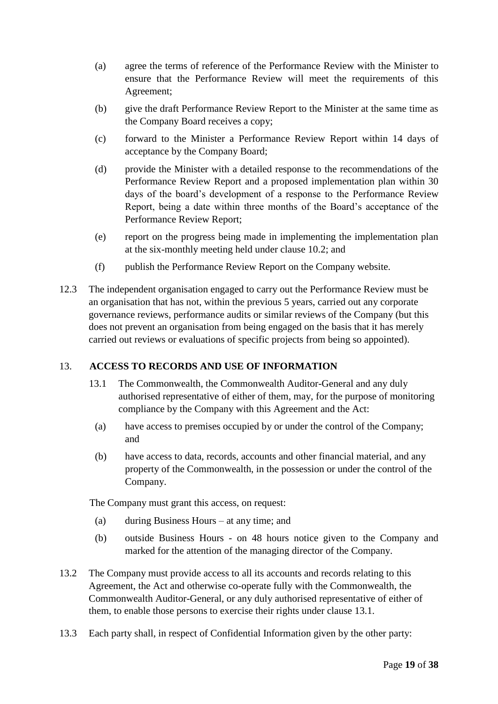- (a) agree the terms of reference of the Performance Review with the Minister to ensure that the Performance Review will meet the requirements of this Agreement;
- (b) give the draft Performance Review Report to the Minister at the same time as the Company Board receives a copy;
- (c) forward to the Minister a Performance Review Report within 14 days of acceptance by the Company Board;
- (d) provide the Minister with a detailed response to the recommendations of the Performance Review Report and a proposed implementation plan within 30 days of the board's development of a response to the Performance Review Report, being a date within three months of the Board's acceptance of the Performance Review Report;
- (e) report on the progress being made in implementing the implementation plan at the six-monthly meeting held under clause 10.2; and
- (f) publish the Performance Review Report on the Company website.
- 12.3 The independent organisation engaged to carry out the Performance Review must be an organisation that has not, within the previous 5 years, carried out any corporate governance reviews, performance audits or similar reviews of the Company (but this does not prevent an organisation from being engaged on the basis that it has merely carried out reviews or evaluations of specific projects from being so appointed).

## <span id="page-18-1"></span><span id="page-18-0"></span>13. **ACCESS TO RECORDS AND USE OF INFORMATION**

- 13.1 The Commonwealth, the Commonwealth Auditor-General and any duly authorised representative of either of them, may, for the purpose of monitoring compliance by the Company with this Agreement and the Act:
	- (a) have access to premises occupied by or under the control of the Company; and
	- (b) have access to data, records, accounts and other financial material, and any property of the Commonwealth, in the possession or under the control of the Company.

The Company must grant this access, on request:

- (a) during Business Hours at any time; and
- (b) outside Business Hours on 48 hours notice given to the Company and marked for the attention of the managing director of the Company.
- 13.2 The Company must provide access to all its accounts and records relating to this Agreement, the Act and otherwise co-operate fully with the Commonwealth, the Commonwealth Auditor-General, or any duly authorised representative of either of them, to enable those persons to exercise their rights under clause [13.1.](#page-18-1)
- <span id="page-18-2"></span>13.3 Each party shall, in respect of Confidential Information given by the other party: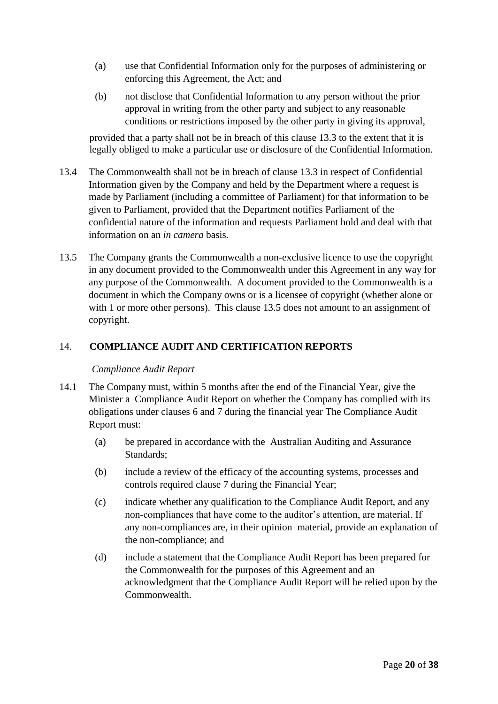- (a) use that Confidential Information only for the purposes of administering or enforcing this Agreement, the Act; and
- (b) not disclose that Confidential Information to any person without the prior approval in writing from the other party and subject to any reasonable conditions or restrictions imposed by the other party in giving its approval,

provided that a party shall not be in breach of this clause [13.3](#page-18-2) to the extent that it is legally obliged to make a particular use or disclosure of the Confidential Information.

- 13.4 The Commonwealth shall not be in breach of clause [13.3](#page-18-2) in respect of Confidential Information given by the Company and held by the Department where a request is made by Parliament (including a committee of Parliament) for that information to be given to Parliament, provided that the Department notifies Parliament of the confidential nature of the information and requests Parliament hold and deal with that information on an *in camera* basis.
- <span id="page-19-2"></span>13.5 The Company grants the Commonwealth a non-exclusive licence to use the copyright in any document provided to the Commonwealth under this Agreement in any way for any purpose of the Commonwealth. A document provided to the Commonwealth is a document in which the Company owns or is a licensee of copyright (whether alone or with 1 or more other persons). This clause [13.5](#page-19-2) does not amount to an assignment of copyright.

## <span id="page-19-0"></span>14. **COMPLIANCE AUDIT AND CERTIFICATION REPORTS**

#### *Compliance Audit Report*

- <span id="page-19-1"></span>14.1 The Company must, within 5 months after the end of the Financial Year, give the Minister a Compliance Audit Report on whether the Company has complied with its obligations under clauses 6 and 7 during the financial year The Compliance Audit Report must:
	- (a) be prepared in accordance with the Australian Auditing and Assurance Standards;
	- (b) include a review of the efficacy of the accounting systems, processes and controls required clause [7](#page-13-0) during the Financial Year;
	- (c) indicate whether any qualification to the Compliance Audit Report, and any non-compliances that have come to the auditor's attention, are material. If any non-compliances are, in their opinion material, provide an explanation of the non-compliance; and
	- (d) include a statement that the Compliance Audit Report has been prepared for the Commonwealth for the purposes of this Agreement and an acknowledgment that the Compliance Audit Report will be relied upon by the Commonwealth.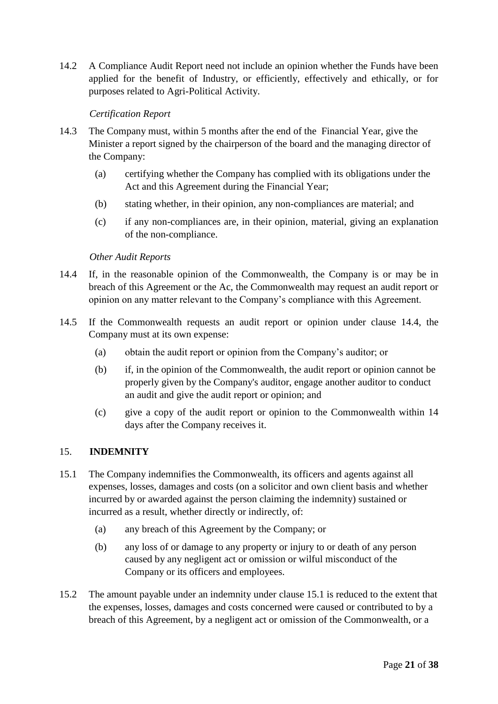14.2 A Compliance Audit Report need not include an opinion whether the Funds have been applied for the benefit of Industry, or efficiently, effectively and ethically, or for purposes related to Agri-Political Activity.

## *Certification Report*

- <span id="page-20-1"></span>14.3 The Company must, within 5 months after the end of the Financial Year, give the Minister a report signed by the chairperson of the board and the managing director of the Company:
	- (a) certifying whether the Company has complied with its obligations under the Act and this Agreement during the Financial Year;
	- (b) stating whether, in their opinion, any non-compliances are material; and
	- (c) if any non-compliances are, in their opinion, material, giving an explanation of the non-compliance.

#### *Other Audit Reports*

- 14.4 If, in the reasonable opinion of the Commonwealth, the Company is or may be in breach of this Agreement or the Ac, the Commonwealth may request an audit report or opinion on any matter relevant to the Company's compliance with this Agreement.
- 14.5 If the Commonwealth requests an audit report or opinion under clause 14.4, the Company must at its own expense:
	- (a) obtain the audit report or opinion from the Company's auditor; or
	- (b) if, in the opinion of the Commonwealth, the audit report or opinion cannot be properly given by the Company's auditor, engage another auditor to conduct an audit and give the audit report or opinion; and
	- (c) give a copy of the audit report or opinion to the Commonwealth within 14 days after the Company receives it.

#### <span id="page-20-2"></span><span id="page-20-0"></span>15. **INDEMNITY**

- 15.1 The Company indemnifies the Commonwealth, its officers and agents against all expenses, losses, damages and costs (on a solicitor and own client basis and whether incurred by or awarded against the person claiming the indemnity) sustained or incurred as a result, whether directly or indirectly, of:
	- (a) any breach of this Agreement by the Company; or
	- (b) any loss of or damage to any property or injury to or death of any person caused by any negligent act or omission or wilful misconduct of the Company or its officers and employees.
- 15.2 The amount payable under an indemnity under clause [15.1](#page-20-2) is reduced to the extent that the expenses, losses, damages and costs concerned were caused or contributed to by a breach of this Agreement, by a negligent act or omission of the Commonwealth, or a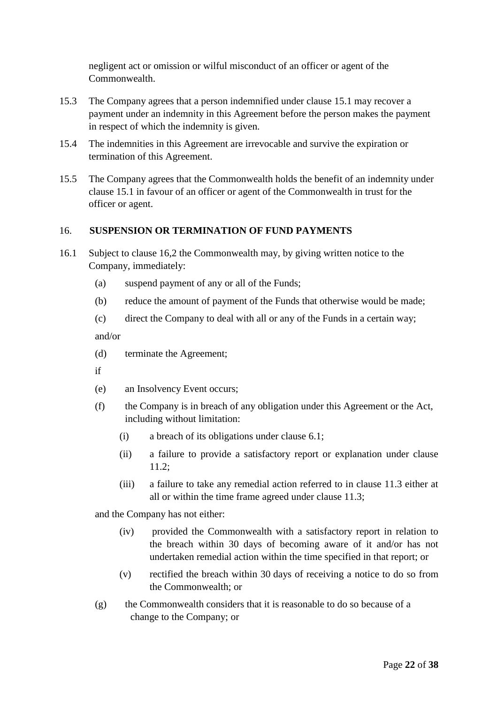negligent act or omission or wilful misconduct of an officer or agent of the Commonwealth.

- 15.3 The Company agrees that a person indemnified under clause [15.1](#page-20-2) may recover a payment under an indemnity in this Agreement before the person makes the payment in respect of which the indemnity is given.
- 15.4 The indemnities in this Agreement are irrevocable and survive the expiration or termination of this Agreement.
- 15.5 The Company agrees that the Commonwealth holds the benefit of an indemnity under clause [15.1](#page-20-2) in favour of an officer or agent of the Commonwealth in trust for the officer or agent.

### <span id="page-21-0"></span>16. **SUSPENSION OR TERMINATION OF FUND PAYMENTS**

- 16.1 Subject to clause 16,2 the Commonwealth may, by giving written notice to the Company, immediately:
	- (a) suspend payment of any or all of the Funds;
	- (b) reduce the amount of payment of the Funds that otherwise would be made;
	- (c) direct the Company to deal with all or any of the Funds in a certain way; and/or

- (d) terminate the Agreement;
- if
- (e) an Insolvency Event occurs;
- (f) the Company is in breach of any obligation under this Agreement or the Act, including without limitation:
	- (i) a breach of its obligations under clause 6.1;
	- (ii) a failure to provide a satisfactory report or explanation under clause 11.2;
	- (iii) a failure to take any remedial action referred to in clause 11.3 either at all or within the time frame agreed under clause 11.3;

and the Company has not either:

- (iv) provided the Commonwealth with a satisfactory report in relation to the breach within 30 days of becoming aware of it and/or has not undertaken remedial action within the time specified in that report; or
- (v) rectified the breach within 30 days of receiving a notice to do so from the Commonwealth; or
- (g) the Commonwealth considers that it is reasonable to do so because of a change to the Company; or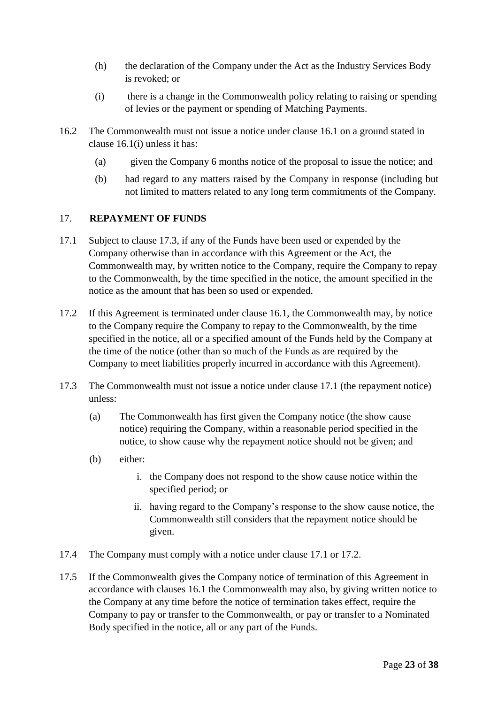- (h) the declaration of the Company under the Act as the Industry Services Body is revoked; or
- (i) there is a change in the Commonwealth policy relating to raising or spending of levies or the payment or spending of Matching Payments.
- 16.2 The Commonwealth must not issue a notice under clause 16.1 on a ground stated in clause 16.1(i) unless it has:
	- (a) given the Company 6 months notice of the proposal to issue the notice; and
	- (b) had regard to any matters raised by the Company in response (including but not limited to matters related to any long term commitments of the Company.

### <span id="page-22-0"></span>17. **REPAYMENT OF FUNDS**

- 17.1 Subject to clause 17.3, if any of the Funds have been used or expended by the Company otherwise than in accordance with this Agreement or the Act, the Commonwealth may, by written notice to the Company, require the Company to repay to the Commonwealth, by the time specified in the notice, the amount specified in the notice as the amount that has been so used or expended.
- 17.2 If this Agreement is terminated under clause 16.1, the Commonwealth may, by notice to the Company require the Company to repay to the Commonwealth, by the time specified in the notice, all or a specified amount of the Funds held by the Company at the time of the notice (other than so much of the Funds as are required by the Company to meet liabilities properly incurred in accordance with this Agreement).
- 17.3 The Commonwealth must not issue a notice under clause 17.1 (the repayment notice) unless:
	- (a) The Commonwealth has first given the Company notice (the show cause notice) requiring the Company, within a reasonable period specified in the notice, to show cause why the repayment notice should not be given; and
	- (b) either:
		- i. the Company does not respond to the show cause notice within the specified period; or
		- ii. having regard to the Company's response to the show cause notice, the Commonwealth still considers that the repayment notice should be given.
- 17.4 The Company must comply with a notice under clause 17.1 or 17.2.
- 17.5 If the Commonwealth gives the Company notice of termination of this Agreement in accordance with clauses 16.1 the Commonwealth may also, by giving written notice to the Company at any time before the notice of termination takes effect, require the Company to pay or transfer to the Commonwealth, or pay or transfer to a Nominated Body specified in the notice, all or any part of the Funds.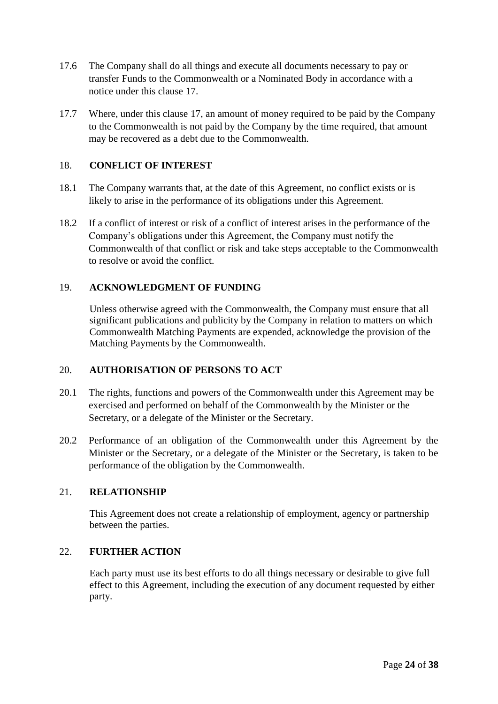- 17.6 The Company shall do all things and execute all documents necessary to pay or transfer Funds to the Commonwealth or a Nominated Body in accordance with a notice under this clause [17.](#page-22-0)
- 17.7 Where, under this clause [17,](#page-22-0) an amount of money required to be paid by the Company to the Commonwealth is not paid by the Company by the time required, that amount may be recovered as a debt due to the Commonwealth.

#### <span id="page-23-0"></span>18. **CONFLICT OF INTEREST**

- 18.1 The Company warrants that, at the date of this Agreement, no conflict exists or is likely to arise in the performance of its obligations under this Agreement.
- 18.2 If a conflict of interest or risk of a conflict of interest arises in the performance of the Company's obligations under this Agreement, the Company must notify the Commonwealth of that conflict or risk and take steps acceptable to the Commonwealth to resolve or avoid the conflict.

### <span id="page-23-1"></span>19. **ACKNOWLEDGMENT OF FUNDING**

Unless otherwise agreed with the Commonwealth, the Company must ensure that all significant publications and publicity by the Company in relation to matters on which Commonwealth Matching Payments are expended, acknowledge the provision of the Matching Payments by the Commonwealth.

#### <span id="page-23-2"></span>20. **AUTHORISATION OF PERSONS TO ACT**

- 20.1 The rights, functions and powers of the Commonwealth under this Agreement may be exercised and performed on behalf of the Commonwealth by the Minister or the Secretary, or a delegate of the Minister or the Secretary.
- 20.2 Performance of an obligation of the Commonwealth under this Agreement by the Minister or the Secretary, or a delegate of the Minister or the Secretary, is taken to be performance of the obligation by the Commonwealth.

#### <span id="page-23-3"></span>21. **RELATIONSHIP**

This Agreement does not create a relationship of employment, agency or partnership between the parties.

#### <span id="page-23-4"></span>22. **FURTHER ACTION**

Each party must use its best efforts to do all things necessary or desirable to give full effect to this Agreement, including the execution of any document requested by either party.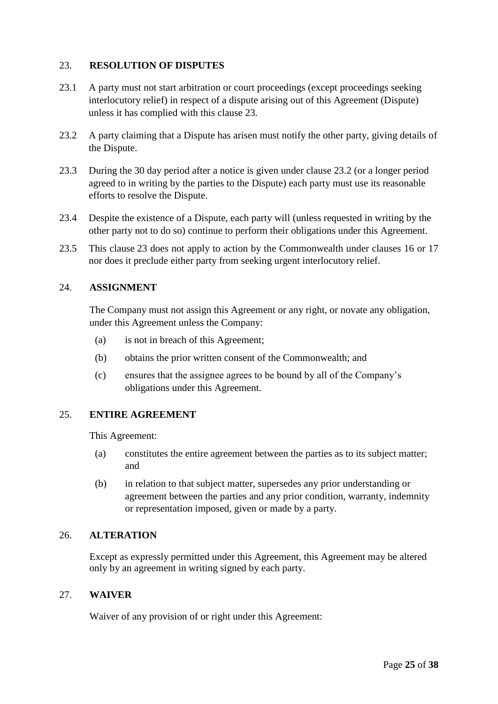## <span id="page-24-0"></span>23. **RESOLUTION OF DISPUTES**

- 23.1 A party must not start arbitration or court proceedings (except proceedings seeking interlocutory relief) in respect of a dispute arising out of this Agreement (Dispute) unless it has complied with this clause [23.](#page-24-0)
- <span id="page-24-5"></span>23.2 A party claiming that a Dispute has arisen must notify the other party, giving details of the Dispute.
- 23.3 During the 30 day period after a notice is given under clause [23.2](#page-24-5) (or a longer period agreed to in writing by the parties to the Dispute) each party must use its reasonable efforts to resolve the Dispute.
- 23.4 Despite the existence of a Dispute, each party will (unless requested in writing by the other party not to do so) continue to perform their obligations under this Agreement.
- 23.5 This clause [23](#page-24-0) does not apply to action by the Commonwealth under clauses 16 or 17 nor does it preclude either party from seeking urgent interlocutory relief.

### <span id="page-24-1"></span>24. **ASSIGNMENT**

The Company must not assign this Agreement or any right, or novate any obligation, under this Agreement unless the Company:

- (a) is not in breach of this Agreement;
- (b) obtains the prior written consent of the Commonwealth; and
- (c) ensures that the assignee agrees to be bound by all of the Company's obligations under this Agreement.

## <span id="page-24-2"></span>25. **ENTIRE AGREEMENT**

This Agreement:

- (a) constitutes the entire agreement between the parties as to its subject matter; and
- (b) in relation to that subject matter, supersedes any prior understanding or agreement between the parties and any prior condition, warranty, indemnity or representation imposed, given or made by a party.

### <span id="page-24-3"></span>26. **ALTERATION**

Except as expressly permitted under this Agreement, this Agreement may be altered only by an agreement in writing signed by each party.

#### <span id="page-24-4"></span>27. **WAIVER**

Waiver of any provision of or right under this Agreement: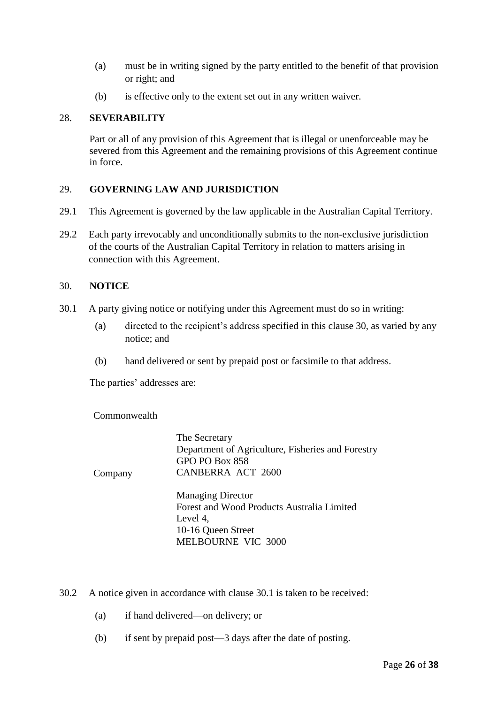- (a) must be in writing signed by the party entitled to the benefit of that provision or right; and
- (b) is effective only to the extent set out in any written waiver.

#### <span id="page-25-0"></span>28. **SEVERABILITY**

Part or all of any provision of this Agreement that is illegal or unenforceable may be severed from this Agreement and the remaining provisions of this Agreement continue in force.

### <span id="page-25-1"></span>29. **GOVERNING LAW AND JURISDICTION**

- 29.1 This Agreement is governed by the law applicable in the Australian Capital Territory.
- 29.2 Each party irrevocably and unconditionally submits to the non-exclusive jurisdiction of the courts of the Australian Capital Territory in relation to matters arising in connection with this Agreement.

### <span id="page-25-2"></span>30. **NOTICE**

- 30.1 A party giving notice or notifying under this Agreement must do so in writing:
	- (a) directed to the recipient's address specified in this clause [30,](#page-25-2) as varied by any notice; and
	- (b) hand delivered or sent by prepaid post or facsimile to that address.

The parties' addresses are:

**Commonwealth** 

|         | The Secretary                                     |
|---------|---------------------------------------------------|
|         | Department of Agriculture, Fisheries and Forestry |
|         | GPO PO Box 858                                    |
| Company | <b>CANBERRA ACT 2600</b>                          |
|         | <b>Managing Director</b>                          |
|         | Forest and Wood Products Australia Limited        |
|         | Level 4,                                          |
|         | 10-16 Queen Street                                |
|         | <b>MELBOURNE VIC 3000</b>                         |
|         |                                                   |

30.2 A notice given in accordance with clause 30.1 is taken to be received:

- (a) if hand delivered—on delivery; or
- (b) if sent by prepaid post—3 days after the date of posting.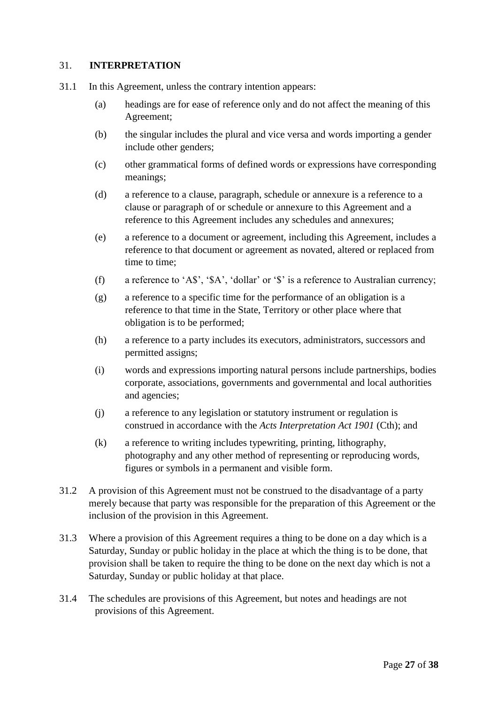#### <span id="page-26-0"></span>31. **INTERPRETATION**

- 31.1 In this Agreement, unless the contrary intention appears:
	- (a) headings are for ease of reference only and do not affect the meaning of this Agreement;
	- (b) the singular includes the plural and vice versa and words importing a gender include other genders;
	- (c) other grammatical forms of defined words or expressions have corresponding meanings;
	- (d) a reference to a clause, paragraph, schedule or annexure is a reference to a clause or paragraph of or schedule or annexure to this Agreement and a reference to this Agreement includes any schedules and annexures;
	- (e) a reference to a document or agreement, including this Agreement, includes a reference to that document or agreement as novated, altered or replaced from time to time;
	- (f) a reference to 'A\$', '\$A', 'dollar' or '\$' is a reference to Australian currency;
	- (g) a reference to a specific time for the performance of an obligation is a reference to that time in the State, Territory or other place where that obligation is to be performed;
	- (h) a reference to a party includes its executors, administrators, successors and permitted assigns;
	- (i) words and expressions importing natural persons include partnerships, bodies corporate, associations, governments and governmental and local authorities and agencies;
	- (j) a reference to any legislation or statutory instrument or regulation is construed in accordance with the *Acts Interpretation Act 1901* (Cth); and
	- (k) a reference to writing includes typewriting, printing, lithography, photography and any other method of representing or reproducing words, figures or symbols in a permanent and visible form.
- 31.2 A provision of this Agreement must not be construed to the disadvantage of a party merely because that party was responsible for the preparation of this Agreement or the inclusion of the provision in this Agreement.
- 31.3 Where a provision of this Agreement requires a thing to be done on a day which is a Saturday, Sunday or public holiday in the place at which the thing is to be done, that provision shall be taken to require the thing to be done on the next day which is not a Saturday, Sunday or public holiday at that place.
- 31.4 The schedules are provisions of this Agreement, but notes and headings are not provisions of this Agreement.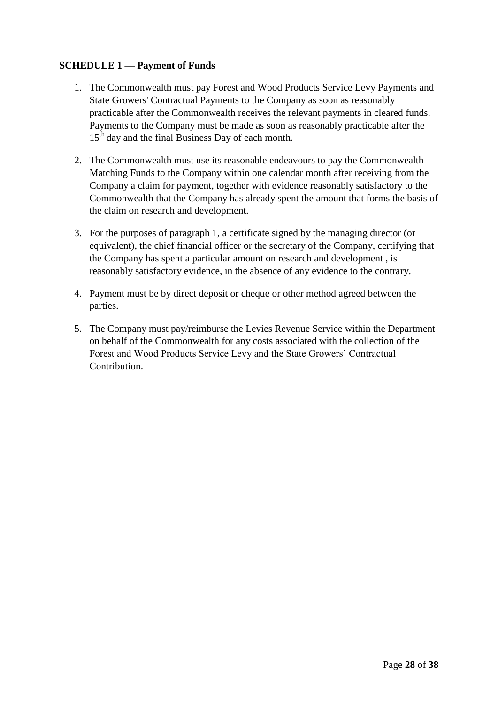## <span id="page-27-1"></span><span id="page-27-0"></span>**SCHEDULE 1 — Payment of Funds**

- 1. The Commonwealth must pay Forest and Wood Products Service Levy Payments and State Growers' Contractual Payments to the Company as soon as reasonably practicable after the Commonwealth receives the relevant payments in cleared funds. Payments to the Company must be made as soon as reasonably practicable after the 15<sup>th</sup> day and the final Business Day of each month.
- 2. The Commonwealth must use its reasonable endeavours to pay the Commonwealth Matching Funds to the Company within one calendar month after receiving from the Company a claim for payment, together with evidence reasonably satisfactory to the Commonwealth that the Company has already spent the amount that forms the basis of the claim on research and development.
- 3. For the purposes of paragraph [1,](#page-27-1) a certificate signed by the managing director (or equivalent), the chief financial officer or the secretary of the Company, certifying that the Company has spent a particular amount on research and development , is reasonably satisfactory evidence, in the absence of any evidence to the contrary.
- 4. Payment must be by direct deposit or cheque or other method agreed between the parties.
- 5. The Company must pay/reimburse the Levies Revenue Service within the Department on behalf of the Commonwealth for any costs associated with the collection of the Forest and Wood Products Service Levy and the State Growers' Contractual Contribution.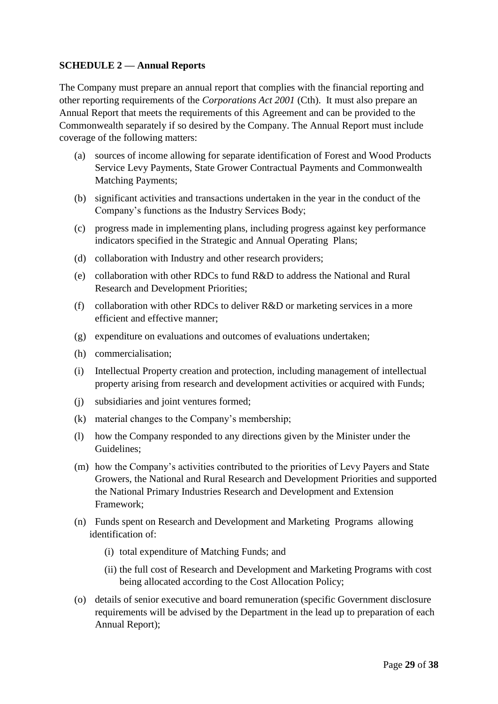## <span id="page-28-0"></span>**SCHEDULE 2 — Annual Reports**

The Company must prepare an annual report that complies with the financial reporting and other reporting requirements of the *Corporations Act 2001* (Cth). It must also prepare an Annual Report that meets the requirements of this Agreement and can be provided to the Commonwealth separately if so desired by the Company. The Annual Report must include coverage of the following matters:

- (a) sources of income allowing for separate identification of Forest and Wood Products Service Levy Payments, State Grower Contractual Payments and Commonwealth Matching Payments;
- (b) significant activities and transactions undertaken in the year in the conduct of the Company's functions as the Industry Services Body;
- (c) progress made in implementing plans, including progress against key performance indicators specified in the Strategic and Annual Operating Plans;
- (d) collaboration with Industry and other research providers;
- (e) collaboration with other RDCs to fund R&D to address the National and Rural Research and Development Priorities;
- (f) collaboration with other RDCs to deliver R&D or marketing services in a more efficient and effective manner;
- (g) expenditure on evaluations and outcomes of evaluations undertaken;
- (h) commercialisation;
- (i) Intellectual Property creation and protection, including management of intellectual property arising from research and development activities or acquired with Funds;
- (j) subsidiaries and joint ventures formed;
- (k) material changes to the Company's membership;
- (l) how the Company responded to any directions given by the Minister under the Guidelines;
- (m) how the Company's activities contributed to the priorities of Levy Payers and State Growers, the National and Rural Research and Development Priorities and supported the National Primary Industries Research and Development and Extension Framework;
- (n) Funds spent on Research and Development and Marketing Programs allowing identification of:
	- (i) total expenditure of Matching Funds; and
	- (ii) the full cost of Research and Development and Marketing Programs with cost being allocated according to the Cost Allocation Policy;
- (o) details of senior executive and board remuneration (specific Government disclosure requirements will be advised by the Department in the lead up to preparation of each Annual Report);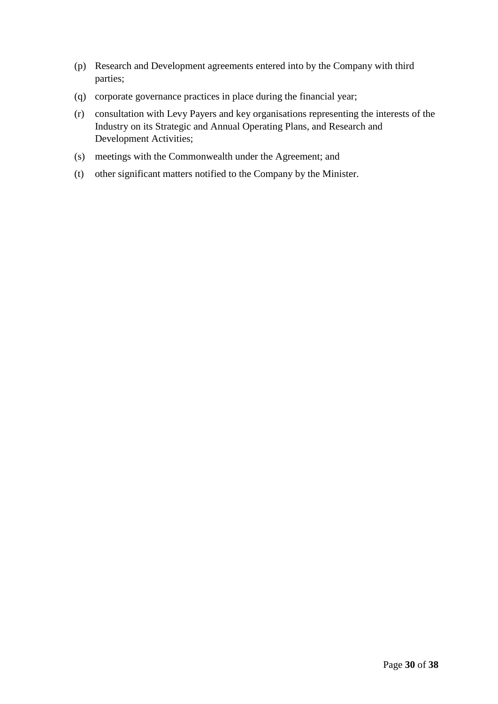- (p) Research and Development agreements entered into by the Company with third parties;
- (q) corporate governance practices in place during the financial year;
- (r) consultation with Levy Payers and key organisations representing the interests of the Industry on its Strategic and Annual Operating Plans, and Research and Development Activities;
- (s) meetings with the Commonwealth under the Agreement; and
- (t) other significant matters notified to the Company by the Minister.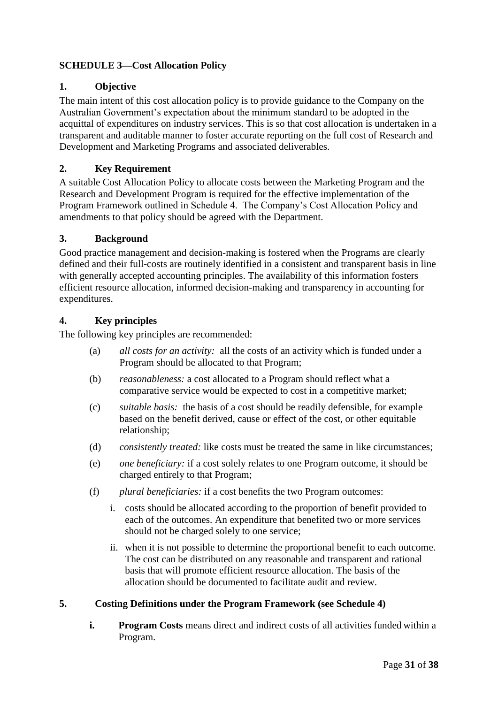## <span id="page-30-0"></span>**SCHEDULE 3—Cost Allocation Policy**

## **1. Objective**

The main intent of this cost allocation policy is to provide guidance to the Company on the Australian Government's expectation about the minimum standard to be adopted in the acquittal of expenditures on industry services. This is so that cost allocation is undertaken in a transparent and auditable manner to foster accurate reporting on the full cost of Research and Development and Marketing Programs and associated deliverables.

## **2. Key Requirement**

A suitable Cost Allocation Policy to allocate costs between the Marketing Program and the Research and Development Program is required for the effective implementation of the Program Framework outlined in Schedule 4. The Company's Cost Allocation Policy and amendments to that policy should be agreed with the Department.

### **3. Background**

Good practice management and decision-making is fostered when the Programs are clearly defined and their full-costs are routinely identified in a consistent and transparent basis in line with generally accepted accounting principles. The availability of this information fosters efficient resource allocation, informed decision-making and transparency in accounting for expenditures.

## **4. Key principles**

The following key principles are recommended:

- (a) *all costs for an activity:* all the costs of an activity which is funded under a Program should be allocated to that Program;
- (b) *reasonableness:* a cost allocated to a Program should reflect what a comparative service would be expected to cost in a competitive market;
- (c) *suitable basis:* the basis of a cost should be readily defensible, for example based on the benefit derived, cause or effect of the cost, or other equitable relationship;
- (d) *consistently treated:* like costs must be treated the same in like circumstances;
- (e) *one beneficiary:* if a cost solely relates to one Program outcome, it should be charged entirely to that Program;
- (f) *plural beneficiaries:* if a cost benefits the two Program outcomes:
	- i. costs should be allocated according to the proportion of benefit provided to each of the outcomes. An expenditure that benefited two or more services should not be charged solely to one service;
	- ii. when it is not possible to determine the proportional benefit to each outcome. The cost can be distributed on any reasonable and transparent and rational basis that will promote efficient resource allocation. The basis of the allocation should be documented to facilitate audit and review.

## **5. Costing Definitions under the Program Framework (see Schedule 4)**

**i. Program Costs** means direct and indirect costs of all activities funded within a Program.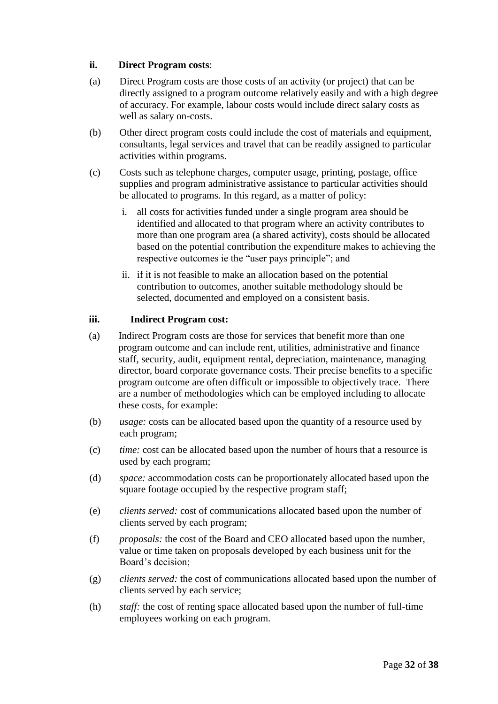## **ii. Direct Program costs**:

- (a) Direct Program costs are those costs of an activity (or project) that can be directly assigned to a program outcome relatively easily and with a high degree of accuracy. For example, labour costs would include direct salary costs as well as salary on-costs.
- (b) Other direct program costs could include the cost of materials and equipment, consultants, legal services and travel that can be readily assigned to particular activities within programs.
- (c) Costs such as telephone charges, computer usage, printing, postage, office supplies and program administrative assistance to particular activities should be allocated to programs. In this regard, as a matter of policy:
	- i. all costs for activities funded under a single program area should be identified and allocated to that program where an activity contributes to more than one program area (a shared activity), costs should be allocated based on the potential contribution the expenditure makes to achieving the respective outcomes ie the "user pays principle"; and
	- ii. if it is not feasible to make an allocation based on the potential contribution to outcomes, another suitable methodology should be selected, documented and employed on a consistent basis.

### **iii. Indirect Program cost:**

- (a) Indirect Program costs are those for services that benefit more than one program outcome and can include rent, utilities, administrative and finance staff, security, audit, equipment rental, depreciation, maintenance, managing director, board corporate governance costs. Their precise benefits to a specific program outcome are often difficult or impossible to objectively trace. There are a number of methodologies which can be employed including to allocate these costs, for example:
- (b) *usage:* costs can be allocated based upon the quantity of a resource used by each program;
- (c) *time:* cost can be allocated based upon the number of hours that a resource is used by each program;
- (d) *space:* accommodation costs can be proportionately allocated based upon the square footage occupied by the respective program staff;
- (e) *clients served:* cost of communications allocated based upon the number of clients served by each program;
- (f) *proposals:* the cost of the Board and CEO allocated based upon the number, value or time taken on proposals developed by each business unit for the Board's decision;
- (g) *clients served:* the cost of communications allocated based upon the number of clients served by each service;
- (h) *staff:* the cost of renting space allocated based upon the number of full-time employees working on each program.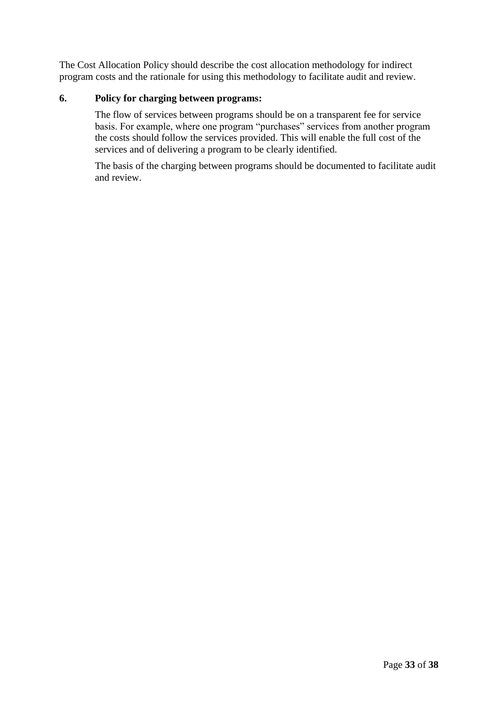The Cost Allocation Policy should describe the cost allocation methodology for indirect program costs and the rationale for using this methodology to facilitate audit and review.

## **6. Policy for charging between programs:**

The flow of services between programs should be on a transparent fee for service basis. For example, where one program "purchases" services from another program the costs should follow the services provided. This will enable the full cost of the services and of delivering a program to be clearly identified.

The basis of the charging between programs should be documented to facilitate audit and review.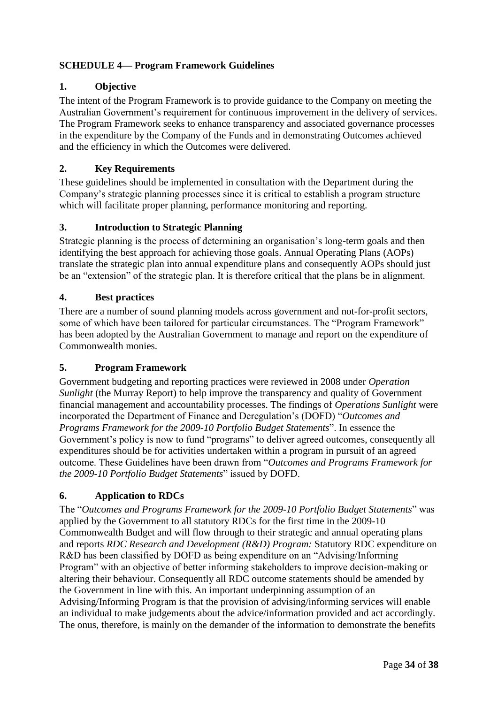## <span id="page-33-0"></span>**SCHEDULE 4— Program Framework Guidelines**

## **1. Objective**

The intent of the Program Framework is to provide guidance to the Company on meeting the Australian Government's requirement for continuous improvement in the delivery of services. The Program Framework seeks to enhance transparency and associated governance processes in the expenditure by the Company of the Funds and in demonstrating Outcomes achieved and the efficiency in which the Outcomes were delivered.

## **2. Key Requirements**

These guidelines should be implemented in consultation with the Department during the Company's strategic planning processes since it is critical to establish a program structure which will facilitate proper planning, performance monitoring and reporting.

### **3. Introduction to Strategic Planning**

Strategic planning is the process of determining an organisation's long-term goals and then identifying the best approach for achieving those goals. Annual Operating Plans (AOPs) translate the strategic plan into annual expenditure plans and consequently AOPs should just be an "extension" of the strategic plan. It is therefore critical that the plans be in alignment.

### **4. Best practices**

There are a number of sound planning models across government and not-for-profit sectors, some of which have been tailored for particular circumstances. The "Program Framework" has been adopted by the Australian Government to manage and report on the expenditure of Commonwealth monies.

#### **5. Program Framework**

Government budgeting and reporting practices were reviewed in 2008 under *Operation Sunlight* (the Murray Report) to help improve the transparency and quality of Government financial management and accountability processes. The findings of *Operations Sunlight* were incorporated the Department of Finance and Deregulation's (DOFD) "*Outcomes and Programs Framework for the 2009-10 Portfolio Budget Statements*". In essence the Government's policy is now to fund "programs" to deliver agreed outcomes, consequently all expenditures should be for activities undertaken within a program in pursuit of an agreed outcome. These Guidelines have been drawn from "*Outcomes and Programs Framework for the 2009-10 Portfolio Budget Statements*" issued by DOFD.

## **6. Application to RDCs**

The "*Outcomes and Programs Framework for the 2009-10 Portfolio Budget Statements*" was applied by the Government to all statutory RDCs for the first time in the 2009-10 Commonwealth Budget and will flow through to their strategic and annual operating plans and reports *RDC Research and Development (R&D) Program:* Statutory RDC expenditure on R&D has been classified by DOFD as being expenditure on an "Advising/Informing Program" with an objective of better informing stakeholders to improve decision-making or altering their behaviour. Consequently all RDC outcome statements should be amended by the Government in line with this. An important underpinning assumption of an Advising/Informing Program is that the provision of advising/informing services will enable an individual to make judgements about the advice/information provided and act accordingly. The onus, therefore, is mainly on the demander of the information to demonstrate the benefits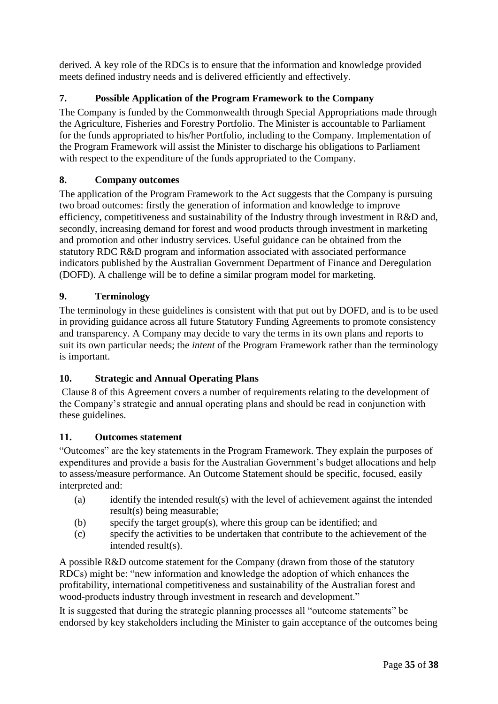derived. A key role of the RDCs is to ensure that the information and knowledge provided meets defined industry needs and is delivered efficiently and effectively.

## **7. Possible Application of the Program Framework to the Company**

The Company is funded by the Commonwealth through Special Appropriations made through the Agriculture, Fisheries and Forestry Portfolio. The Minister is accountable to Parliament for the funds appropriated to his/her Portfolio, including to the Company. Implementation of the Program Framework will assist the Minister to discharge his obligations to Parliament with respect to the expenditure of the funds appropriated to the Company.

## **8. Company outcomes**

The application of the Program Framework to the Act suggests that the Company is pursuing two broad outcomes: firstly the generation of information and knowledge to improve efficiency, competitiveness and sustainability of the Industry through investment in R&D and, secondly, increasing demand for forest and wood products through investment in marketing and promotion and other industry services. Useful guidance can be obtained from the statutory RDC R&D program and information associated with associated performance indicators published by the Australian Government Department of Finance and Deregulation (DOFD). A challenge will be to define a similar program model for marketing.

## **9. Terminology**

The terminology in these guidelines is consistent with that put out by DOFD, and is to be used in providing guidance across all future Statutory Funding Agreements to promote consistency and transparency. A Company may decide to vary the terms in its own plans and reports to suit its own particular needs; the *intent* of the Program Framework rather than the terminology is important.

## **10. Strategic and Annual Operating Plans**

Clause 8 of this Agreement covers a number of requirements relating to the development of the Company's strategic and annual operating plans and should be read in conjunction with these guidelines.

## **11. Outcomes statement**

"Outcomes" are the key statements in the Program Framework. They explain the purposes of expenditures and provide a basis for the Australian Government's budget allocations and help to assess/measure performance. An Outcome Statement should be specific, focused, easily interpreted and:

- (a) identify the intended result(s) with the level of achievement against the intended result(s) being measurable;
- (b) specify the target group(s), where this group can be identified; and
- (c) specify the activities to be undertaken that contribute to the achievement of the intended result(s).

A possible R&D outcome statement for the Company (drawn from those of the statutory RDCs) might be: "new information and knowledge the adoption of which enhances the profitability, international competitiveness and sustainability of the Australian forest and wood-products industry through investment in research and development."

It is suggested that during the strategic planning processes all "outcome statements" be endorsed by key stakeholders including the Minister to gain acceptance of the outcomes being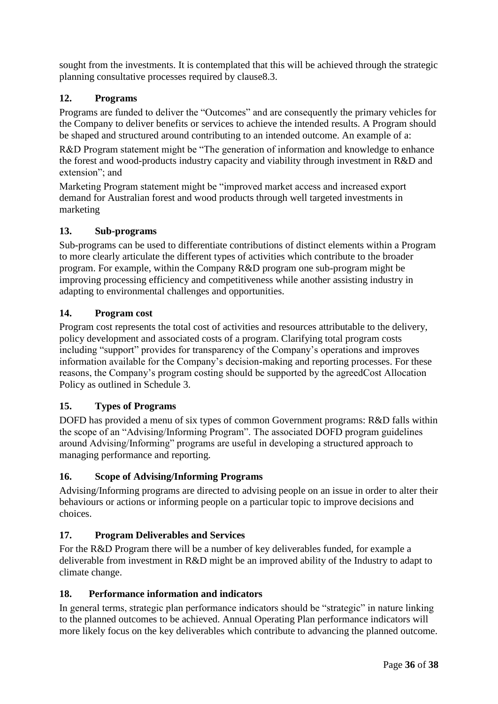sought from the investments. It is contemplated that this will be achieved through the strategic planning consultative processes required by clause8.3.

## **12. Programs**

Programs are funded to deliver the "Outcomes" and are consequently the primary vehicles for the Company to deliver benefits or services to achieve the intended results. A Program should be shaped and structured around contributing to an intended outcome. An example of a:

R&D Program statement might be "The generation of information and knowledge to enhance the forest and wood-products industry capacity and viability through investment in R&D and extension"; and

Marketing Program statement might be "improved market access and increased export demand for Australian forest and wood products through well targeted investments in marketing

## **13. Sub-programs**

Sub-programs can be used to differentiate contributions of distinct elements within a Program to more clearly articulate the different types of activities which contribute to the broader program. For example, within the Company R&D program one sub-program might be improving processing efficiency and competitiveness while another assisting industry in adapting to environmental challenges and opportunities.

## **14. Program cost**

Program cost represents the total cost of activities and resources attributable to the delivery, policy development and associated costs of a program. Clarifying total program costs including "support" provides for transparency of the Company's operations and improves information available for the Company's decision-making and reporting processes. For these reasons, the Company's program costing should be supported by the agreedCost Allocation Policy as outlined in Schedule 3.

## **15. Types of Programs**

DOFD has provided a menu of six types of common Government programs: R&D falls within the scope of an "Advising/Informing Program". The associated DOFD program guidelines around Advising/Informing" programs are useful in developing a structured approach to managing performance and reporting.

## **16. Scope of Advising/Informing Programs**

Advising/Informing programs are directed to advising people on an issue in order to alter their behaviours or actions or informing people on a particular topic to improve decisions and choices.

## **17. Program Deliverables and Services**

For the R&D Program there will be a number of key deliverables funded, for example a deliverable from investment in R&D might be an improved ability of the Industry to adapt to climate change.

## **18. Performance information and indicators**

In general terms, strategic plan performance indicators should be "strategic" in nature linking to the planned outcomes to be achieved. Annual Operating Plan performance indicators will more likely focus on the key deliverables which contribute to advancing the planned outcome.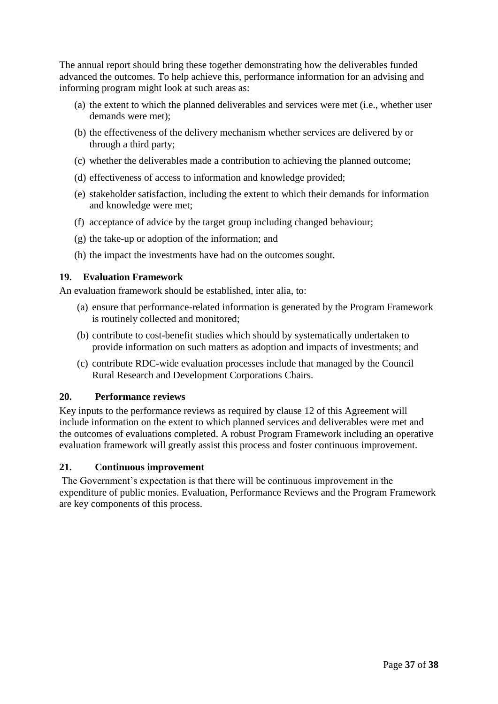The annual report should bring these together demonstrating how the deliverables funded advanced the outcomes. To help achieve this, performance information for an advising and informing program might look at such areas as:

- (a) the extent to which the planned deliverables and services were met (i.e., whether user demands were met);
- (b) the effectiveness of the delivery mechanism whether services are delivered by or through a third party;
- (c) whether the deliverables made a contribution to achieving the planned outcome;
- (d) effectiveness of access to information and knowledge provided;
- (e) stakeholder satisfaction, including the extent to which their demands for information and knowledge were met;
- (f) acceptance of advice by the target group including changed behaviour;
- (g) the take-up or adoption of the information; and
- (h) the impact the investments have had on the outcomes sought.

## **19. Evaluation Framework**

An evaluation framework should be established, inter alia, to:

- (a) ensure that performance-related information is generated by the Program Framework is routinely collected and monitored;
- (b) contribute to cost-benefit studies which should by systematically undertaken to provide information on such matters as adoption and impacts of investments; and
- (c) contribute RDC-wide evaluation processes include that managed by the Council Rural Research and Development Corporations Chairs.

#### **20. Performance reviews**

Key inputs to the performance reviews as required by clause 12 of this Agreement will include information on the extent to which planned services and deliverables were met and the outcomes of evaluations completed. A robust Program Framework including an operative evaluation framework will greatly assist this process and foster continuous improvement.

## **21. Continuous improvement**

The Government's expectation is that there will be continuous improvement in the expenditure of public monies. Evaluation, Performance Reviews and the Program Framework are key components of this process.